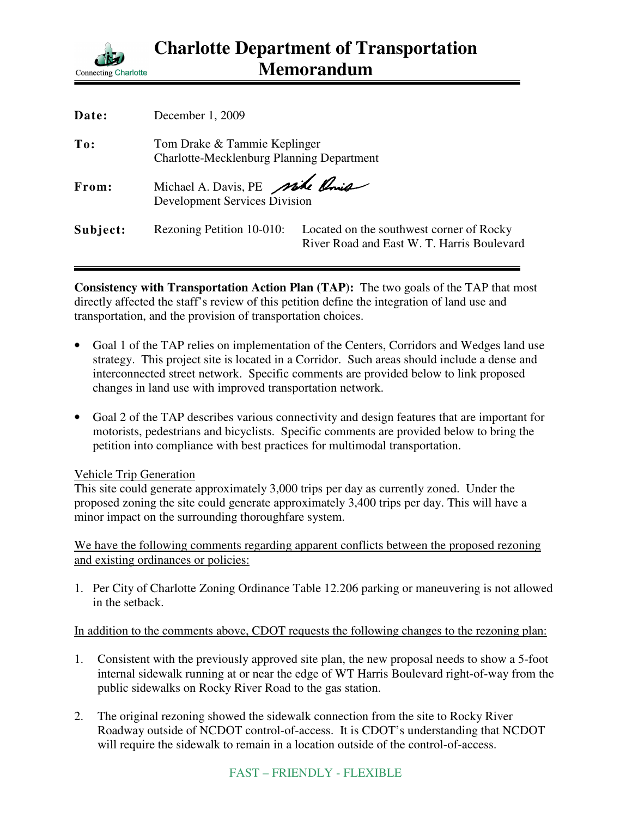

| Date:    | December 1, 2009                                                          |                                                                                        |
|----------|---------------------------------------------------------------------------|----------------------------------------------------------------------------------------|
| To:      | Tom Drake & Tammie Keplinger<br>Charlotte-Mecklenburg Planning Department |                                                                                        |
| From:    | Michael A. Davis, PE nike Onio<br><b>Development Services Division</b>    |                                                                                        |
| Subject: | Rezoning Petition 10-010:                                                 | Located on the southwest corner of Rocky<br>River Road and East W. T. Harris Boulevard |

**Consistency with Transportation Action Plan (TAP):** The two goals of the TAP that most directly affected the staff's review of this petition define the integration of land use and transportation, and the provision of transportation choices.

- Goal 1 of the TAP relies on implementation of the Centers, Corridors and Wedges land use strategy. This project site is located in a Corridor. Such areas should include a dense and interconnected street network. Specific comments are provided below to link proposed changes in land use with improved transportation network.
- Goal 2 of the TAP describes various connectivity and design features that are important for motorists, pedestrians and bicyclists. Specific comments are provided below to bring the petition into compliance with best practices for multimodal transportation.

## Vehicle Trip Generation

This site could generate approximately 3,000 trips per day as currently zoned. Under the proposed zoning the site could generate approximately 3,400 trips per day. This will have a minor impact on the surrounding thoroughfare system.

We have the following comments regarding apparent conflicts between the proposed rezoning and existing ordinances or policies:

1. Per City of Charlotte Zoning Ordinance Table 12.206 parking or maneuvering is not allowed in the setback.

In addition to the comments above, CDOT requests the following changes to the rezoning plan:

- 1. Consistent with the previously approved site plan, the new proposal needs to show a 5-foot internal sidewalk running at or near the edge of WT Harris Boulevard right-of-way from the public sidewalks on Rocky River Road to the gas station.
- 2. The original rezoning showed the sidewalk connection from the site to Rocky River Roadway outside of NCDOT control-of-access. It is CDOT's understanding that NCDOT will require the sidewalk to remain in a location outside of the control-of-access.